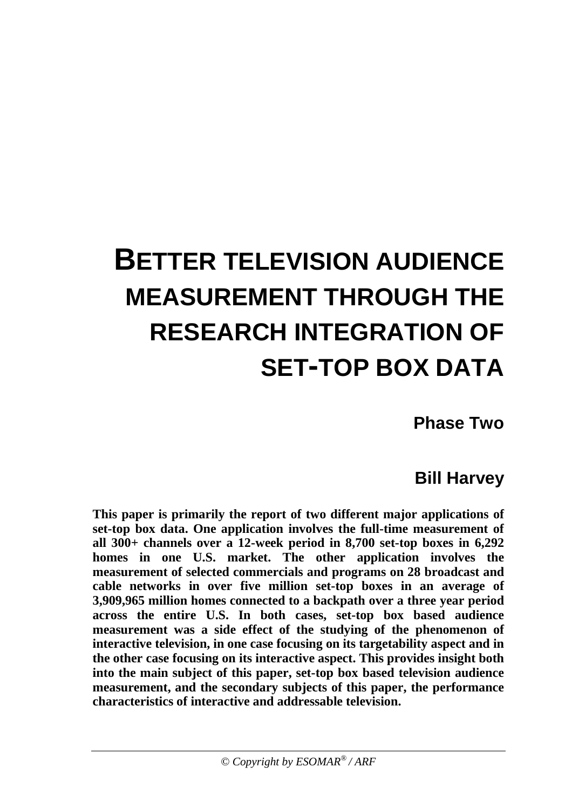# **BETTER TELEVISION AUDIENCE MEASUREMENT THROUGH THE RESEARCH INTEGRATION OF SET-TOP BOX DATA**

**Phase Two**

# **Bill Harvey**

**This paper is primarily the report of two different major applications of set-top box data. One application involves the full-time measurement of all 300+ channels over a 12-week period in 8,700 set-top boxes in 6,292 homes in one U.S. market. The other application involves the measurement of selected commercials and programs on 28 broadcast and cable networks in over five million set-top boxes in an average of 3,909,965 million homes connected to a backpath over a three year period across the entire U.S. In both cases, set-top box based audience measurement was a side effect of the studying of the phenomenon of interactive television, in one case focusing on its targetability aspect and in the other case focusing on its interactive aspect. This provides insight both into the main subject of this paper, set-top box based television audience measurement, and the secondary subjects of this paper, the performance characteristics of interactive and addressable television.**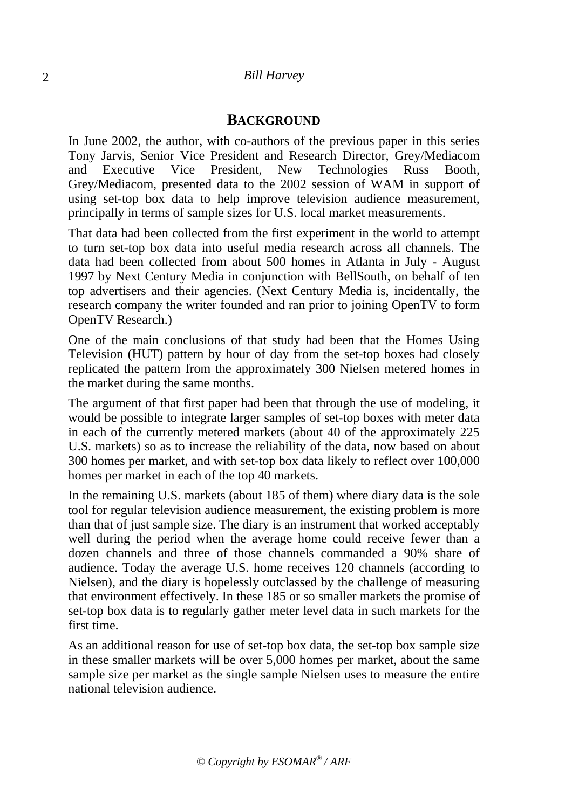#### **BACKGROUND**

In June 2002, the author, with co-authors of the previous paper in this series Tony Jarvis, Senior Vice President and Research Director, Grey/Mediacom and Executive Vice President, New Technologies Russ Booth, Grey/Mediacom, presented data to the 2002 session of WAM in support of using set-top box data to help improve television audience measurement, principally in terms of sample sizes for U.S. local market measurements.

That data had been collected from the first experiment in the world to attempt to turn set-top box data into useful media research across all channels. The data had been collected from about 500 homes in Atlanta in July - August 1997 by Next Century Media in conjunction with BellSouth, on behalf of ten top advertisers and their agencies. (Next Century Media is, incidentally, the research company the writer founded and ran prior to joining OpenTV to form OpenTV Research.)

One of the main conclusions of that study had been that the Homes Using Television (HUT) pattern by hour of day from the set-top boxes had closely replicated the pattern from the approximately 300 Nielsen metered homes in the market during the same months.

The argument of that first paper had been that through the use of modeling, it would be possible to integrate larger samples of set-top boxes with meter data in each of the currently metered markets (about 40 of the approximately 225 U.S. markets) so as to increase the reliability of the data, now based on about 300 homes per market, and with set-top box data likely to reflect over 100,000 homes per market in each of the top 40 markets.

In the remaining U.S. markets (about 185 of them) where diary data is the sole tool for regular television audience measurement, the existing problem is more than that of just sample size. The diary is an instrument that worked acceptably well during the period when the average home could receive fewer than a dozen channels and three of those channels commanded a 90% share of audience. Today the average U.S. home receives 120 channels (according to Nielsen), and the diary is hopelessly outclassed by the challenge of measuring that environment effectively. In these 185 or so smaller markets the promise of set-top box data is to regularly gather meter level data in such markets for the first time.

As an additional reason for use of set-top box data, the set-top box sample size in these smaller markets will be over 5,000 homes per market, about the same sample size per market as the single sample Nielsen uses to measure the entire national television audience.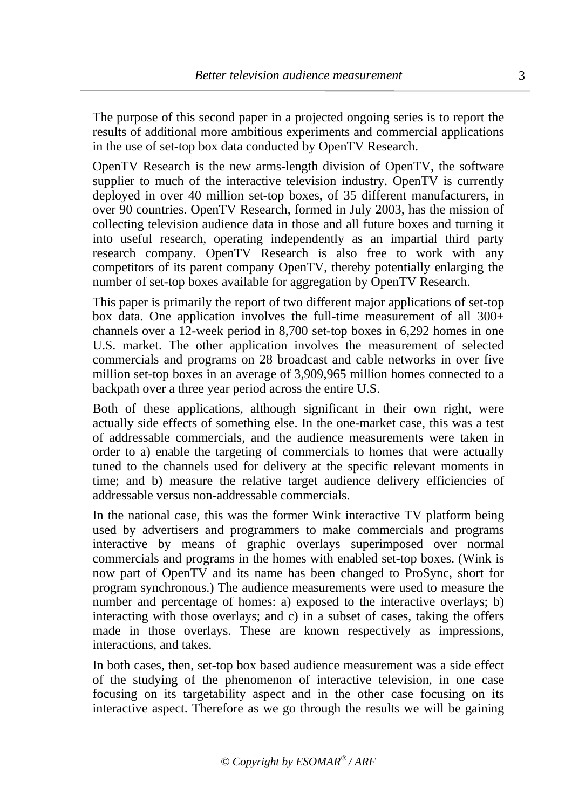The purpose of this second paper in a projected ongoing series is to report the results of additional more ambitious experiments and commercial applications in the use of set-top box data conducted by OpenTV Research.

OpenTV Research is the new arms-length division of OpenTV, the software supplier to much of the interactive television industry. OpenTV is currently deployed in over 40 million set-top boxes, of 35 different manufacturers, in over 90 countries. OpenTV Research, formed in July 2003, has the mission of collecting television audience data in those and all future boxes and turning it into useful research, operating independently as an impartial third party research company. OpenTV Research is also free to work with any competitors of its parent company OpenTV, thereby potentially enlarging the number of set-top boxes available for aggregation by OpenTV Research.

This paper is primarily the report of two different major applications of set-top box data. One application involves the full-time measurement of all 300+ channels over a 12-week period in 8,700 set-top boxes in 6,292 homes in one U.S. market. The other application involves the measurement of selected commercials and programs on 28 broadcast and cable networks in over five million set-top boxes in an average of 3,909,965 million homes connected to a backpath over a three year period across the entire U.S.

Both of these applications, although significant in their own right, were actually side effects of something else. In the one-market case, this was a test of addressable commercials, and the audience measurements were taken in order to a) enable the targeting of commercials to homes that were actually tuned to the channels used for delivery at the specific relevant moments in time; and b) measure the relative target audience delivery efficiencies of addressable versus non-addressable commercials.

In the national case, this was the former Wink interactive TV platform being used by advertisers and programmers to make commercials and programs interactive by means of graphic overlays superimposed over normal commercials and programs in the homes with enabled set-top boxes. (Wink is now part of OpenTV and its name has been changed to ProSync, short for program synchronous.) The audience measurements were used to measure the number and percentage of homes: a) exposed to the interactive overlays; b) interacting with those overlays; and c) in a subset of cases, taking the offers made in those overlays. These are known respectively as impressions, interactions, and takes.

In both cases, then, set-top box based audience measurement was a side effect of the studying of the phenomenon of interactive television, in one case focusing on its targetability aspect and in the other case focusing on its interactive aspect. Therefore as we go through the results we will be gaining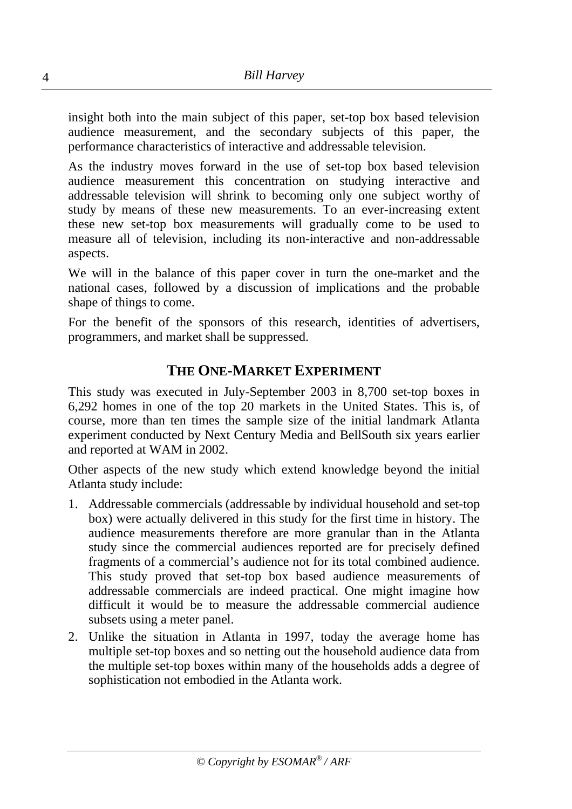insight both into the main subject of this paper, set-top box based television audience measurement, and the secondary subjects of this paper, the performance characteristics of interactive and addressable television.

As the industry moves forward in the use of set-top box based television audience measurement this concentration on studying interactive and addressable television will shrink to becoming only one subject worthy of study by means of these new measurements. To an ever-increasing extent these new set-top box measurements will gradually come to be used to measure all of television, including its non-interactive and non-addressable aspects.

We will in the balance of this paper cover in turn the one-market and the national cases, followed by a discussion of implications and the probable shape of things to come.

For the benefit of the sponsors of this research, identities of advertisers, programmers, and market shall be suppressed.

# **THE ONE-MARKET EXPERIMENT**

This study was executed in July-September 2003 in 8,700 set-top boxes in 6,292 homes in one of the top 20 markets in the United States. This is, of course, more than ten times the sample size of the initial landmark Atlanta experiment conducted by Next Century Media and BellSouth six years earlier and reported at WAM in 2002.

Other aspects of the new study which extend knowledge beyond the initial Atlanta study include:

- 1. Addressable commercials (addressable by individual household and set-top box) were actually delivered in this study for the first time in history. The audience measurements therefore are more granular than in the Atlanta study since the commercial audiences reported are for precisely defined fragments of a commercial's audience not for its total combined audience. This study proved that set-top box based audience measurements of addressable commercials are indeed practical. One might imagine how difficult it would be to measure the addressable commercial audience subsets using a meter panel.
- 2. Unlike the situation in Atlanta in 1997, today the average home has multiple set-top boxes and so netting out the household audience data from the multiple set-top boxes within many of the households adds a degree of sophistication not embodied in the Atlanta work.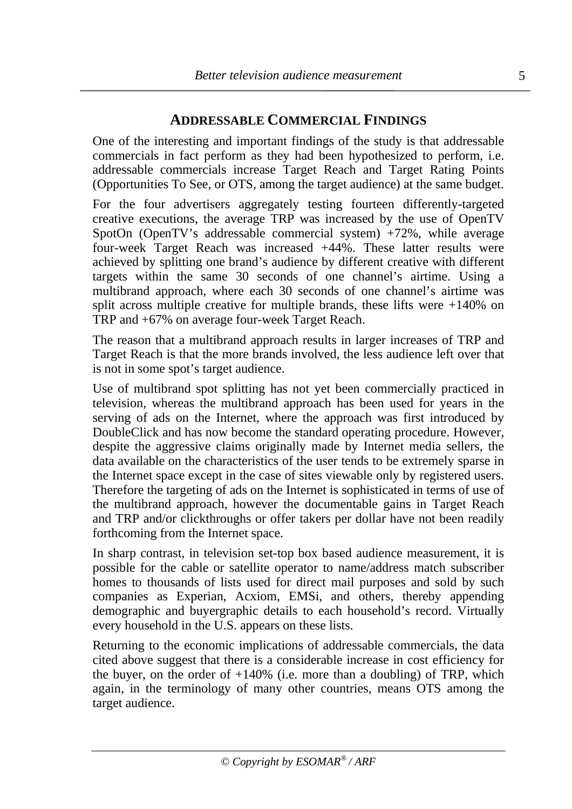#### **ADDRESSABLE COMMERCIAL FINDINGS**

One of the interesting and important findings of the study is that addressable commercials in fact perform as they had been hypothesized to perform, i.e. addressable commercials increase Target Reach and Target Rating Points (Opportunities To See, or OTS, among the target audience) at the same budget.

For the four advertisers aggregately testing fourteen differently-targeted creative executions, the average TRP was increased by the use of OpenTV SpotOn (OpenTV's addressable commercial system) +72%, while average four-week Target Reach was increased +44%. These latter results were achieved by splitting one brand's audience by different creative with different targets within the same 30 seconds of one channel's airtime. Using a multibrand approach, where each 30 seconds of one channel's airtime was split across multiple creative for multiple brands, these lifts were  $+140\%$  on TRP and +67% on average four-week Target Reach.

The reason that a multibrand approach results in larger increases of TRP and Target Reach is that the more brands involved, the less audience left over that is not in some spot's target audience.

Use of multibrand spot splitting has not yet been commercially practiced in television, whereas the multibrand approach has been used for years in the serving of ads on the Internet, where the approach was first introduced by DoubleClick and has now become the standard operating procedure. However, despite the aggressive claims originally made by Internet media sellers, the data available on the characteristics of the user tends to be extremely sparse in the Internet space except in the case of sites viewable only by registered users. Therefore the targeting of ads on the Internet is sophisticated in terms of use of the multibrand approach, however the documentable gains in Target Reach and TRP and/or clickthroughs or offer takers per dollar have not been readily forthcoming from the Internet space.

In sharp contrast, in television set-top box based audience measurement, it is possible for the cable or satellite operator to name/address match subscriber homes to thousands of lists used for direct mail purposes and sold by such companies as Experian, Acxiom, EMSi, and others, thereby appending demographic and buyergraphic details to each household's record. Virtually every household in the U.S. appears on these lists.

Returning to the economic implications of addressable commercials, the data cited above suggest that there is a considerable increase in cost efficiency for the buyer, on the order of  $+140\%$  (i.e. more than a doubling) of TRP, which again, in the terminology of many other countries, means OTS among the target audience.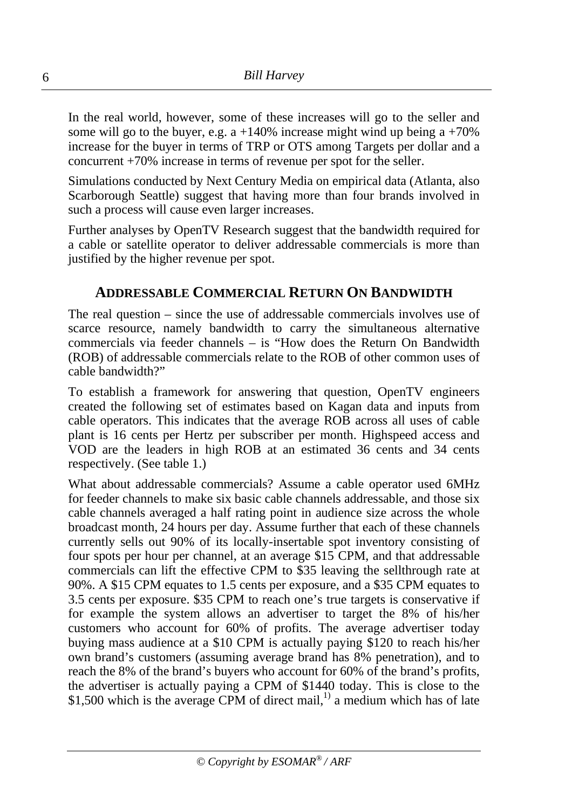In the real world, however, some of these increases will go to the seller and some will go to the buyer, e.g. a  $+140\%$  increase might wind up being a  $+70\%$ increase for the buyer in terms of TRP or OTS among Targets per dollar and a concurrent +70% increase in terms of revenue per spot for the seller.

Simulations conducted by Next Century Media on empirical data (Atlanta, also Scarborough Seattle) suggest that having more than four brands involved in such a process will cause even larger increases.

Further analyses by OpenTV Research suggest that the bandwidth required for a cable or satellite operator to deliver addressable commercials is more than justified by the higher revenue per spot.

#### **ADDRESSABLE COMMERCIAL RETURN ON BANDWIDTH**

The real question – since the use of addressable commercials involves use of scarce resource, namely bandwidth to carry the simultaneous alternative commercials via feeder channels – is "How does the Return On Bandwidth (ROB) of addressable commercials relate to the ROB of other common uses of cable bandwidth?"

To establish a framework for answering that question, OpenTV engineers created the following set of estimates based on Kagan data and inputs from cable operators. This indicates that the average ROB across all uses of cable plant is 16 cents per Hertz per subscriber per month. Highspeed access and VOD are the leaders in high ROB at an estimated 36 cents and 34 cents respectively. (See table 1.)

What about addressable commercials? Assume a cable operator used 6MHz for feeder channels to make six basic cable channels addressable, and those six cable channels averaged a half rating point in audience size across the whole broadcast month, 24 hours per day. Assume further that each of these channels currently sells out 90% of its locally-insertable spot inventory consisting of four spots per hour per channel, at an average \$15 CPM, and that addressable commercials can lift the effective CPM to \$35 leaving the sellthrough rate at 90%. A \$15 CPM equates to 1.5 cents per exposure, and a \$35 CPM equates to 3.5 cents per exposure. \$35 CPM to reach one's true targets is conservative if for example the system allows an advertiser to target the 8% of his/her customers who account for 60% of profits. The average advertiser today buying mass audience at a \$10 CPM is actually paying \$120 to reach his/her own brand's customers (assuming average brand has 8% penetration), and to reach the 8% of the brand's buyers who account for 60% of the brand's profits, the advertiser is actually paying a CPM of \$1440 today. This is close to the \$1,500 which is the average CPM of direct mail,<sup>1)</sup> a medium which has of late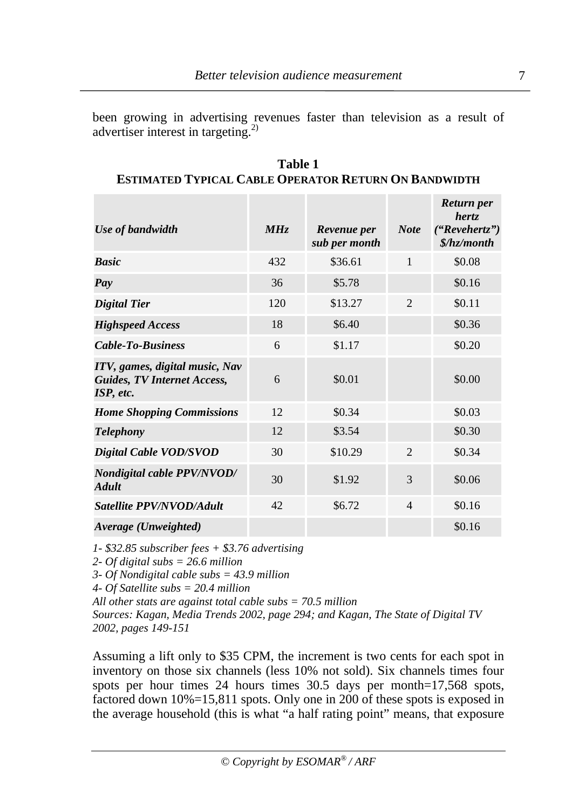been growing in advertising revenues faster than television as a result of advertiser interest in targeting.2)

| Use of bandwidth                                                                  | MHz | Revenue per<br>sub per month | <b>Note</b>    | Return per<br>hertz.<br>("Revehertz")<br>\$/hz/month |
|-----------------------------------------------------------------------------------|-----|------------------------------|----------------|------------------------------------------------------|
| <b>Basic</b>                                                                      | 432 | \$36.61                      | $\mathbf{1}$   | \$0.08                                               |
| Pay                                                                               | 36  | \$5.78                       |                | \$0.16                                               |
| <b>Digital Tier</b>                                                               | 120 | \$13.27                      | $\overline{2}$ | \$0.11                                               |
| <b>Highspeed Access</b>                                                           | 18  | \$6.40                       |                | \$0.36                                               |
| <b>Cable-To-Business</b>                                                          | 6   | \$1.17                       |                | \$0.20                                               |
| ITV, games, digital music, Nav<br><b>Guides, TV Internet Access,</b><br>ISP, etc. | 6   | \$0.01                       |                | \$0.00                                               |
| <b>Home Shopping Commissions</b>                                                  | 12  | \$0.34                       |                | \$0.03                                               |
| <b>Telephony</b>                                                                  | 12  | \$3.54                       |                | \$0.30                                               |
| Digital Cable VOD/SVOD                                                            | 30  | \$10.29                      | $\overline{2}$ | \$0.34                                               |
| <b>Nondigital cable PPV/NVOD/</b><br><b>Adult</b>                                 | 30  | \$1.92                       | 3              | \$0.06                                               |
| Satellite PPV/NVOD/Adult                                                          | 42  | \$6.72                       | $\overline{4}$ | \$0.16                                               |
| Average (Unweighted)                                                              |     |                              |                | \$0.16                                               |

**Table 1 ESTIMATED TYPICAL CABLE OPERATOR RETURN ON BANDWIDTH**

*1- \$32.85 subscriber fees + \$3.76 advertising*

*2- Of digital subs = 26.6 million*

*3- Of Nondigital cable subs = 43.9 million*

*4- Of Satellite subs = 20.4 million*

*All other stats are against total cable subs = 70.5 million*

*Sources: Kagan, Media Trends 2002, page 294; and Kagan, The State of Digital TV 2002, pages 149-151*

Assuming a lift only to \$35 CPM, the increment is two cents for each spot in inventory on those six channels (less 10% not sold). Six channels times four spots per hour times 24 hours times 30.5 days per month=17,568 spots, factored down 10%=15,811 spots. Only one in 200 of these spots is exposed in the average household (this is what "a half rating point" means, that exposure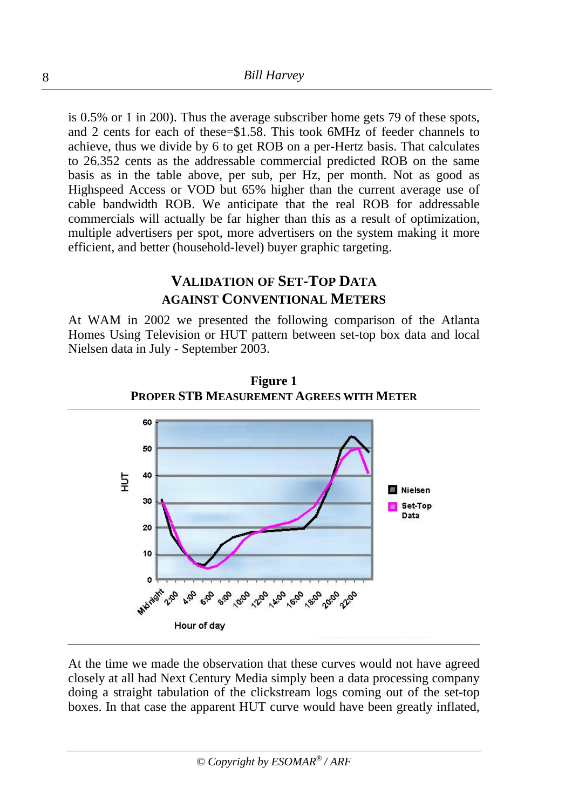is 0.5% or 1 in 200). Thus the average subscriber home gets 79 of these spots, and 2 cents for each of these=\$1.58. This took 6MHz of feeder channels to achieve, thus we divide by 6 to get ROB on a per-Hertz basis. That calculates to 26.352 cents as the addressable commercial predicted ROB on the same basis as in the table above, per sub, per Hz, per month. Not as good as Highspeed Access or VOD but 65% higher than the current average use of cable bandwidth ROB. We anticipate that the real ROB for addressable commercials will actually be far higher than this as a result of optimization, multiple advertisers per spot, more advertisers on the system making it more efficient, and better (household-level) buyer graphic targeting.

# **VALIDATION OF SET-TOP DATA AGAINST CONVENTIONAL METERS**

At WAM in 2002 we presented the following comparison of the Atlanta Homes Using Television or HUT pattern between set-top box data and local Nielsen data in July - September 2003.



**Figure 1 PROPER STB MEASUREMENT AGREES WITH METER**

At the time we made the observation that these curves would not have agreed closely at all had Next Century Media simply been a data processing company doing a straight tabulation of the clickstream logs coming out of the set-top boxes. In that case the apparent HUT curve would have been greatly inflated,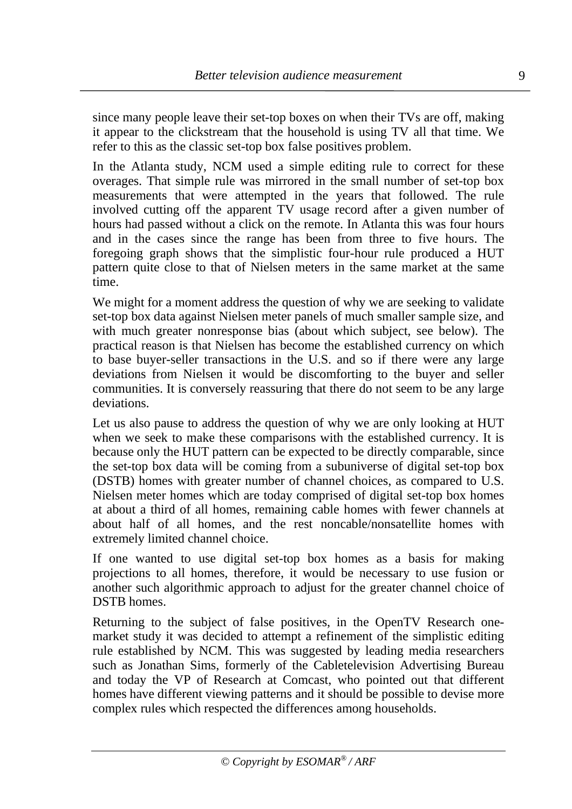since many people leave their set-top boxes on when their TVs are off, making it appear to the clickstream that the household is using TV all that time. We refer to this as the classic set-top box false positives problem.

In the Atlanta study, NCM used a simple editing rule to correct for these overages. That simple rule was mirrored in the small number of set-top box measurements that were attempted in the years that followed. The rule involved cutting off the apparent TV usage record after a given number of hours had passed without a click on the remote. In Atlanta this was four hours and in the cases since the range has been from three to five hours. The foregoing graph shows that the simplistic four-hour rule produced a HUT pattern quite close to that of Nielsen meters in the same market at the same time.

We might for a moment address the question of why we are seeking to validate set-top box data against Nielsen meter panels of much smaller sample size, and with much greater nonresponse bias (about which subject, see below). The practical reason is that Nielsen has become the established currency on which to base buyer-seller transactions in the U.S. and so if there were any large deviations from Nielsen it would be discomforting to the buyer and seller communities. It is conversely reassuring that there do not seem to be any large deviations.

Let us also pause to address the question of why we are only looking at HUT when we seek to make these comparisons with the established currency. It is because only the HUT pattern can be expected to be directly comparable, since the set-top box data will be coming from a subuniverse of digital set-top box (DSTB) homes with greater number of channel choices, as compared to U.S. Nielsen meter homes which are today comprised of digital set-top box homes at about a third of all homes, remaining cable homes with fewer channels at about half of all homes, and the rest noncable/nonsatellite homes with extremely limited channel choice.

If one wanted to use digital set-top box homes as a basis for making projections to all homes, therefore, it would be necessary to use fusion or another such algorithmic approach to adjust for the greater channel choice of DSTB homes.

Returning to the subject of false positives, in the OpenTV Research onemarket study it was decided to attempt a refinement of the simplistic editing rule established by NCM. This was suggested by leading media researchers such as Jonathan Sims, formerly of the Cabletelevision Advertising Bureau and today the VP of Research at Comcast, who pointed out that different homes have different viewing patterns and it should be possible to devise more complex rules which respected the differences among households.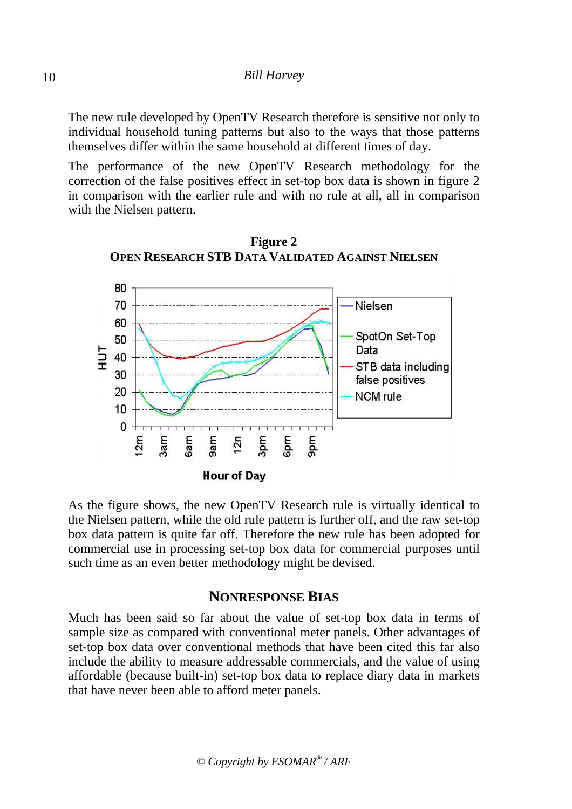The new rule developed by OpenTV Research therefore is sensitive not only to individual household tuning patterns but also to the ways that those patterns themselves differ within the same household at different times of day.

The performance of the new OpenTV Research methodology for the correction of the false positives effect in set-top box data is shown in figure 2 in comparison with the earlier rule and with no rule at all, all in comparison with the Nielsen pattern.



**Figure 2 OPEN RESEARCH STB DATA VALIDATED AGAINST NIELSEN**

As the figure shows, the new OpenTV Research rule is virtually identical to the Nielsen pattern, while the old rule pattern is further off, and the raw set-top box data pattern is quite far off. Therefore the new rule has been adopted for commercial use in processing set-top box data for commercial purposes until such time as an even better methodology might be devised.

#### **NONRESPONSE BIAS**

Much has been said so far about the value of set-top box data in terms of sample size as compared with conventional meter panels. Other advantages of set-top box data over conventional methods that have been cited this far also include the ability to measure addressable commercials, and the value of using affordable (because built-in) set-top box data to replace diary data in markets that have never been able to afford meter panels.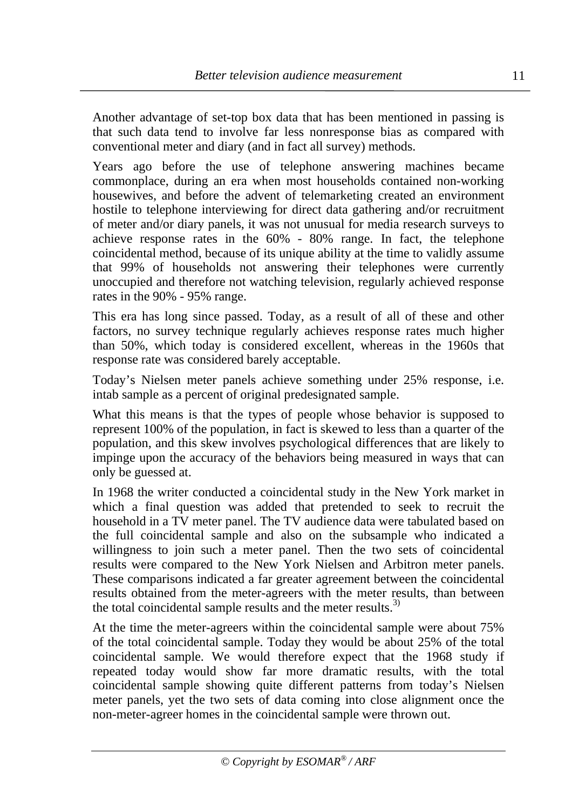Another advantage of set-top box data that has been mentioned in passing is that such data tend to involve far less nonresponse bias as compared with conventional meter and diary (and in fact all survey) methods.

Years ago before the use of telephone answering machines became commonplace, during an era when most households contained non-working housewives, and before the advent of telemarketing created an environment hostile to telephone interviewing for direct data gathering and/or recruitment of meter and/or diary panels, it was not unusual for media research surveys to achieve response rates in the 60% - 80% range. In fact, the telephone coincidental method, because of its unique ability at the time to validly assume that 99% of households not answering their telephones were currently unoccupied and therefore not watching television, regularly achieved response rates in the 90% - 95% range.

This era has long since passed. Today, as a result of all of these and other factors, no survey technique regularly achieves response rates much higher than 50%, which today is considered excellent, whereas in the 1960s that response rate was considered barely acceptable.

Today's Nielsen meter panels achieve something under 25% response, i.e. intab sample as a percent of original predesignated sample.

What this means is that the types of people whose behavior is supposed to represent 100% of the population, in fact is skewed to less than a quarter of the population, and this skew involves psychological differences that are likely to impinge upon the accuracy of the behaviors being measured in ways that can only be guessed at.

In 1968 the writer conducted a coincidental study in the New York market in which a final question was added that pretended to seek to recruit the household in a TV meter panel. The TV audience data were tabulated based on the full coincidental sample and also on the subsample who indicated a willingness to join such a meter panel. Then the two sets of coincidental results were compared to the New York Nielsen and Arbitron meter panels. These comparisons indicated a far greater agreement between the coincidental results obtained from the meter-agreers with the meter results, than between the total coincidental sample results and the meter results.<sup>3)</sup>

At the time the meter-agreers within the coincidental sample were about 75% of the total coincidental sample. Today they would be about 25% of the total coincidental sample. We would therefore expect that the 1968 study if repeated today would show far more dramatic results, with the total coincidental sample showing quite different patterns from today's Nielsen meter panels, yet the two sets of data coming into close alignment once the non-meter-agreer homes in the coincidental sample were thrown out.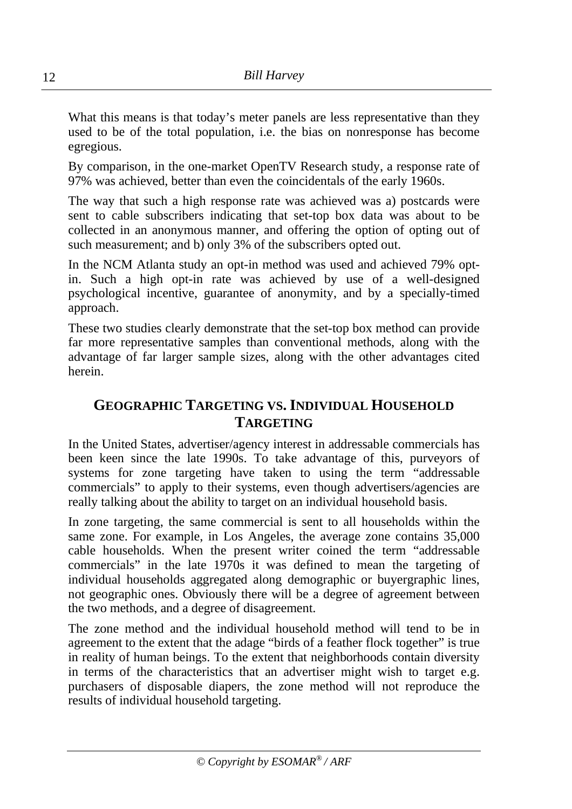What this means is that today's meter panels are less representative than they used to be of the total population, i.e. the bias on nonresponse has become egregious.

By comparison, in the one-market OpenTV Research study, a response rate of 97% was achieved, better than even the coincidentals of the early 1960s.

The way that such a high response rate was achieved was a) postcards were sent to cable subscribers indicating that set-top box data was about to be collected in an anonymous manner, and offering the option of opting out of such measurement; and b) only 3% of the subscribers opted out.

In the NCM Atlanta study an opt-in method was used and achieved 79% optin. Such a high opt-in rate was achieved by use of a well-designed psychological incentive, guarantee of anonymity, and by a specially-timed approach.

These two studies clearly demonstrate that the set-top box method can provide far more representative samples than conventional methods, along with the advantage of far larger sample sizes, along with the other advantages cited herein.

# **GEOGRAPHIC TARGETING VS. INDIVIDUAL HOUSEHOLD TARGETING**

In the United States, advertiser/agency interest in addressable commercials has been keen since the late 1990s. To take advantage of this, purveyors of systems for zone targeting have taken to using the term "addressable commercials" to apply to their systems, even though advertisers/agencies are really talking about the ability to target on an individual household basis.

In zone targeting, the same commercial is sent to all households within the same zone. For example, in Los Angeles, the average zone contains 35,000 cable households. When the present writer coined the term "addressable commercials" in the late 1970s it was defined to mean the targeting of individual households aggregated along demographic or buyergraphic lines, not geographic ones. Obviously there will be a degree of agreement between the two methods, and a degree of disagreement.

The zone method and the individual household method will tend to be in agreement to the extent that the adage "birds of a feather flock together" is true in reality of human beings. To the extent that neighborhoods contain diversity in terms of the characteristics that an advertiser might wish to target e.g. purchasers of disposable diapers, the zone method will not reproduce the results of individual household targeting.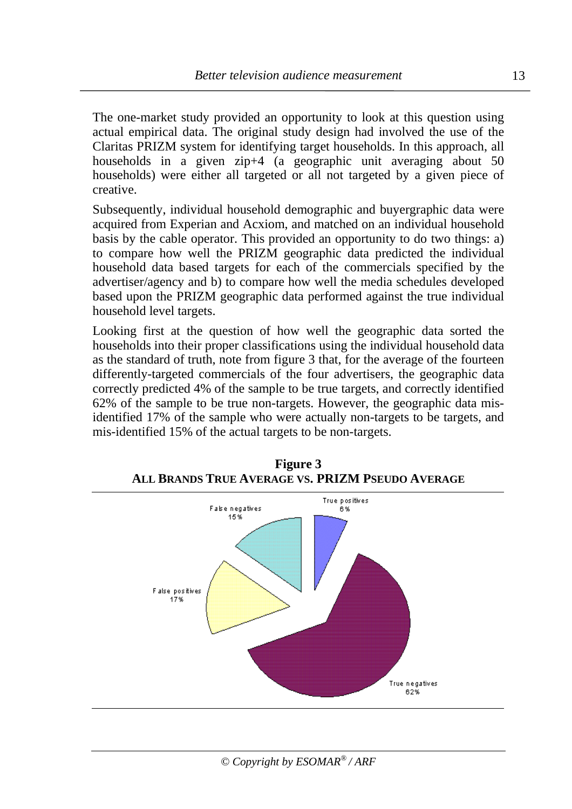The one-market study provided an opportunity to look at this question using actual empirical data. The original study design had involved the use of the Claritas PRIZM system for identifying target households. In this approach, all households in a given zip+4 (a geographic unit averaging about 50 households) were either all targeted or all not targeted by a given piece of creative.

Subsequently, individual household demographic and buyergraphic data were acquired from Experian and Acxiom, and matched on an individual household basis by the cable operator. This provided an opportunity to do two things: a) to compare how well the PRIZM geographic data predicted the individual household data based targets for each of the commercials specified by the advertiser/agency and b) to compare how well the media schedules developed based upon the PRIZM geographic data performed against the true individual household level targets.

Looking first at the question of how well the geographic data sorted the households into their proper classifications using the individual household data as the standard of truth, note from figure 3 that, for the average of the fourteen differently-targeted commercials of the four advertisers, the geographic data correctly predicted 4% of the sample to be true targets, and correctly identified 62% of the sample to be true non-targets. However, the geographic data misidentified 17% of the sample who were actually non-targets to be targets, and mis-identified 15% of the actual targets to be non-targets.



**Figure 3 ALL BRANDS TRUE AVERAGE VS. PRIZM PSEUDO AVERAGE**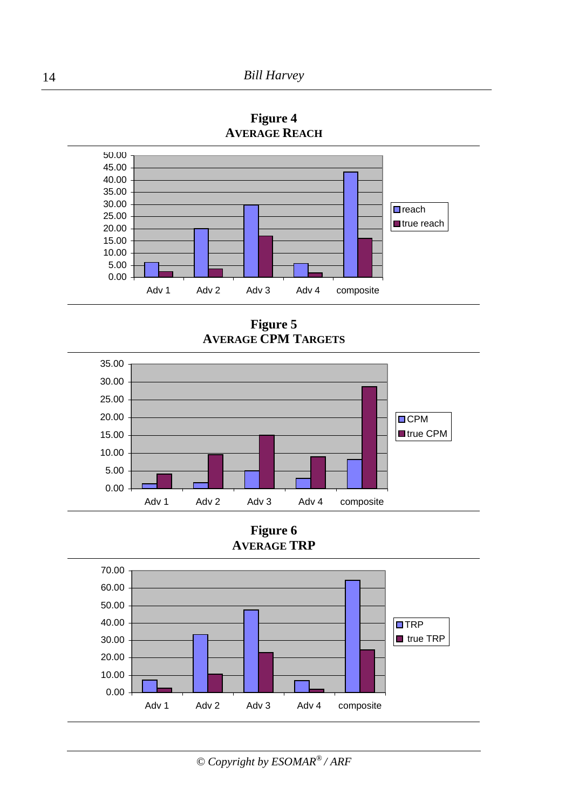

**Figure 4 AVERAGE REACH**

**Figure 5 AVERAGE CPM TARGETS**



**Figure 6 AVERAGE TRP**

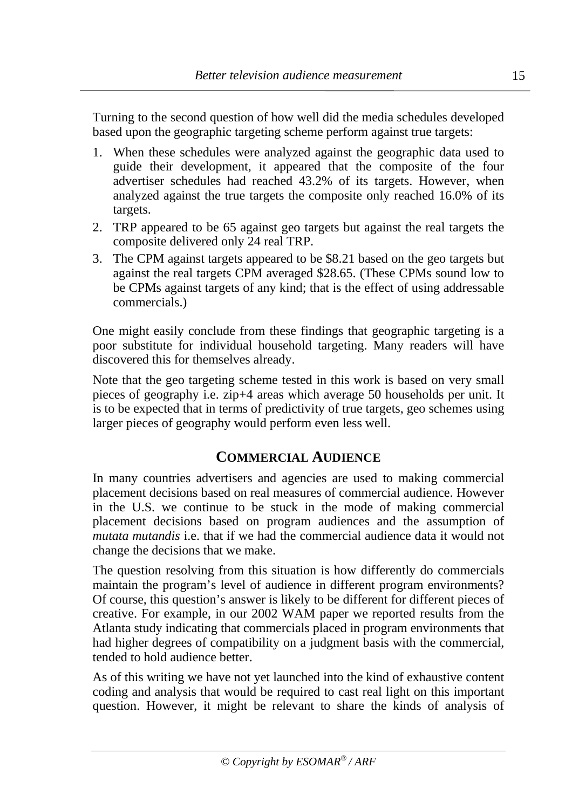Turning to the second question of how well did the media schedules developed based upon the geographic targeting scheme perform against true targets:

- 1. When these schedules were analyzed against the geographic data used to guide their development, it appeared that the composite of the four advertiser schedules had reached 43.2% of its targets. However, when analyzed against the true targets the composite only reached 16.0% of its targets.
- 2. TRP appeared to be 65 against geo targets but against the real targets the composite delivered only 24 real TRP.
- 3. The CPM against targets appeared to be \$8.21 based on the geo targets but against the real targets CPM averaged \$28.65. (These CPMs sound low to be CPMs against targets of any kind; that is the effect of using addressable commercials.)

One might easily conclude from these findings that geographic targeting is a poor substitute for individual household targeting. Many readers will have discovered this for themselves already.

Note that the geo targeting scheme tested in this work is based on very small pieces of geography i.e. zip+4 areas which average 50 households per unit. It is to be expected that in terms of predictivity of true targets, geo schemes using larger pieces of geography would perform even less well.

#### **COMMERCIAL AUDIENCE**

In many countries advertisers and agencies are used to making commercial placement decisions based on real measures of commercial audience. However in the U.S. we continue to be stuck in the mode of making commercial placement decisions based on program audiences and the assumption of *mutata mutandis* i.e. that if we had the commercial audience data it would not change the decisions that we make.

The question resolving from this situation is how differently do commercials maintain the program's level of audience in different program environments? Of course, this question's answer is likely to be different for different pieces of creative. For example, in our 2002 WAM paper we reported results from the Atlanta study indicating that commercials placed in program environments that had higher degrees of compatibility on a judgment basis with the commercial, tended to hold audience better.

As of this writing we have not yet launched into the kind of exhaustive content coding and analysis that would be required to cast real light on this important question. However, it might be relevant to share the kinds of analysis of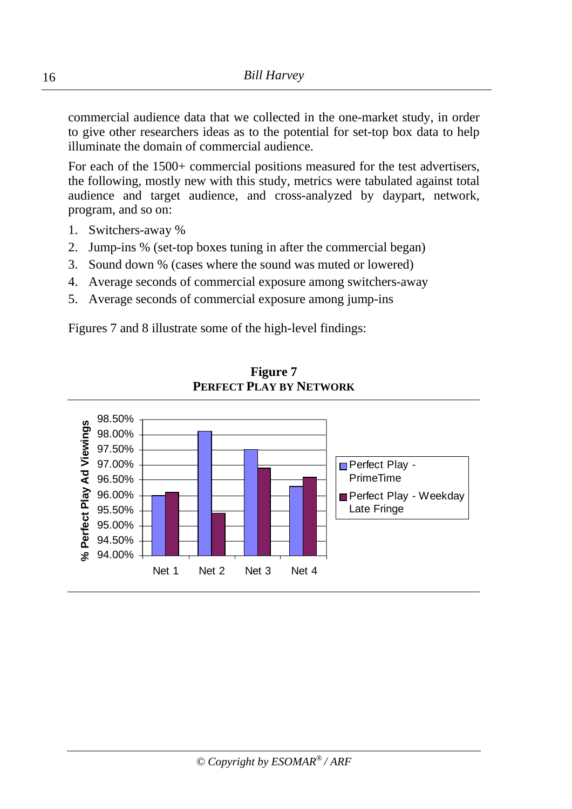commercial audience data that we collected in the one-market study, in order to give other researchers ideas as to the potential for set-top box data to help illuminate the domain of commercial audience.

For each of the 1500+ commercial positions measured for the test advertisers, the following, mostly new with this study, metrics were tabulated against total audience and target audience, and cross-analyzed by daypart, network, program, and so on:

- 1. Switchers-away %
- 2. Jump-ins % (set-top boxes tuning in after the commercial began)
- 3. Sound down % (cases where the sound was muted or lowered)
- 4. Average seconds of commercial exposure among switchers-away
- 5. Average seconds of commercial exposure among jump-ins

Figures 7 and 8 illustrate some of the high-level findings:



**Figure 7 PERFECT PLAY BY NETWORK**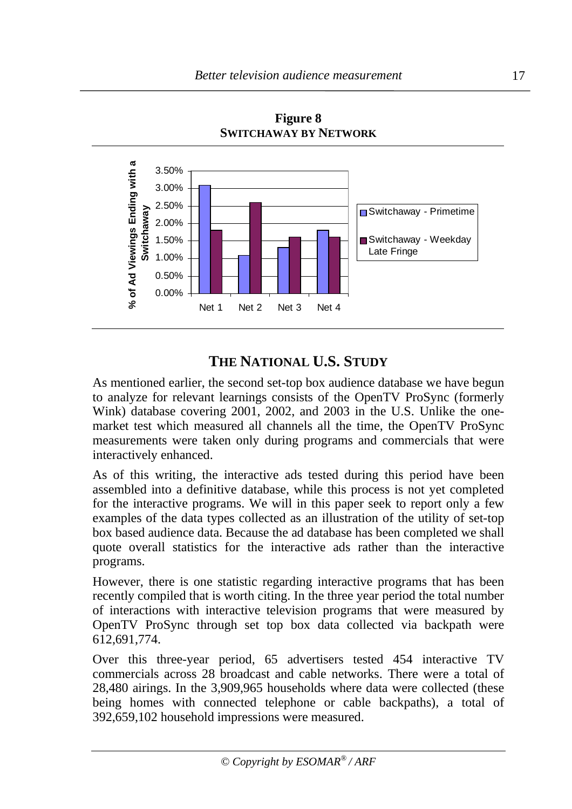

**Figure 8 SWITCHAWAY BY NETWORK**

# **THE NATIONAL U.S. STUDY**

As mentioned earlier, the second set-top box audience database we have begun to analyze for relevant learnings consists of the OpenTV ProSync (formerly Wink) database covering 2001, 2002, and 2003 in the U.S. Unlike the onemarket test which measured all channels all the time, the OpenTV ProSync measurements were taken only during programs and commercials that were interactively enhanced.

As of this writing, the interactive ads tested during this period have been assembled into a definitive database, while this process is not yet completed for the interactive programs. We will in this paper seek to report only a few examples of the data types collected as an illustration of the utility of set-top box based audience data. Because the ad database has been completed we shall quote overall statistics for the interactive ads rather than the interactive programs.

However, there is one statistic regarding interactive programs that has been recently compiled that is worth citing. In the three year period the total number of interactions with interactive television programs that were measured by OpenTV ProSync through set top box data collected via backpath were 612,691,774.

Over this three-year period, 65 advertisers tested 454 interactive TV commercials across 28 broadcast and cable networks. There were a total of 28,480 airings. In the 3,909,965 households where data were collected (these being homes with connected telephone or cable backpaths), a total of 392,659,102 household impressions were measured.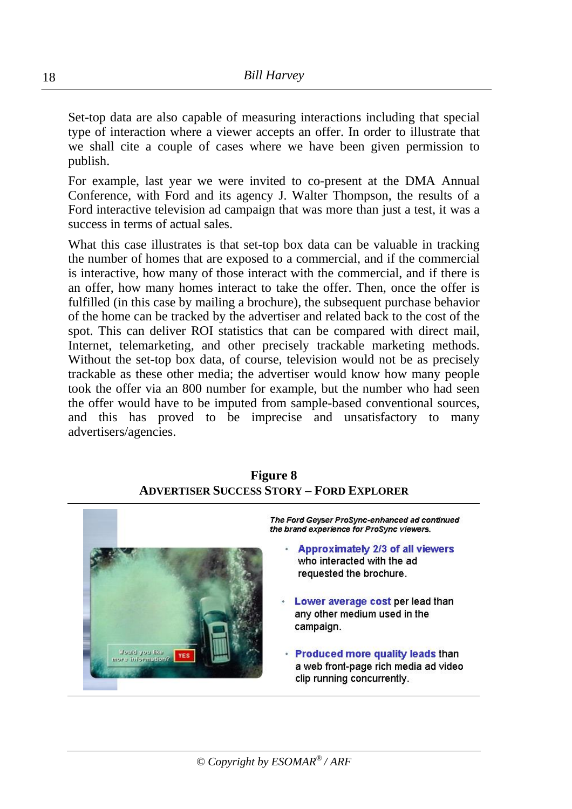Set-top data are also capable of measuring interactions including that special type of interaction where a viewer accepts an offer. In order to illustrate that we shall cite a couple of cases where we have been given permission to publish.

For example, last year we were invited to co-present at the DMA Annual Conference, with Ford and its agency J. Walter Thompson, the results of a Ford interactive television ad campaign that was more than just a test, it was a success in terms of actual sales.

What this case illustrates is that set-top box data can be valuable in tracking the number of homes that are exposed to a commercial, and if the commercial is interactive, how many of those interact with the commercial, and if there is an offer, how many homes interact to take the offer. Then, once the offer is fulfilled (in this case by mailing a brochure), the subsequent purchase behavior of the home can be tracked by the advertiser and related back to the cost of the spot. This can deliver ROI statistics that can be compared with direct mail, Internet, telemarketing, and other precisely trackable marketing methods. Without the set-top box data, of course, television would not be as precisely trackable as these other media; the advertiser would know how many people took the offer via an 800 number for example, but the number who had seen the offer would have to be imputed from sample-based conventional sources, and this has proved to be imprecise and unsatisfactory to many advertisers/agencies.

#### **Figure 8 ADVERTISER SUCCESS STORY – FORD EXPLORER**

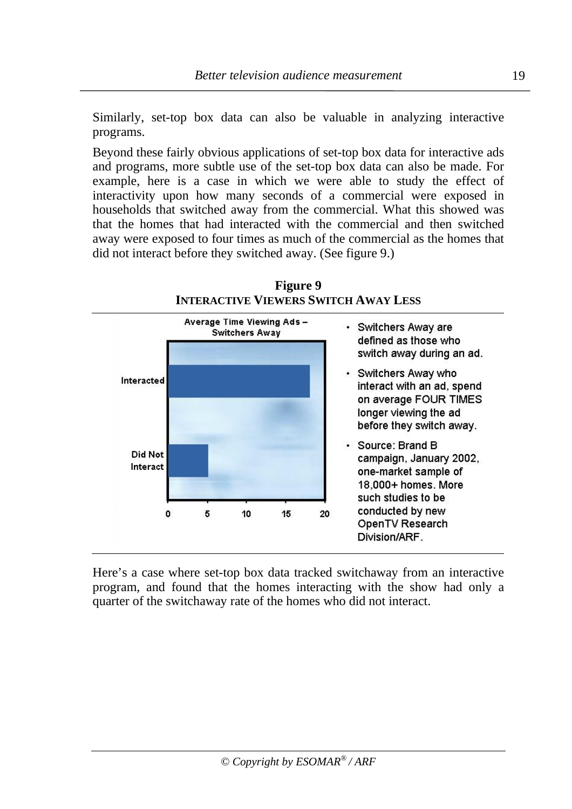Similarly, set-top box data can also be valuable in analyzing interactive programs.

Beyond these fairly obvious applications of set-top box data for interactive ads and programs, more subtle use of the set-top box data can also be made. For example, here is a case in which we were able to study the effect of interactivity upon how many seconds of a commercial were exposed in households that switched away from the commercial. What this showed was that the homes that had interacted with the commercial and then switched away were exposed to four times as much of the commercial as the homes that did not interact before they switched away. (See figure 9.)



**Figure 9 INTERACTIVE VIEWERS SWITCH AWAY LESS**

Here's a case where set-top box data tracked switchaway from an interactive program, and found that the homes interacting with the show had only a quarter of the switchaway rate of the homes who did not interact.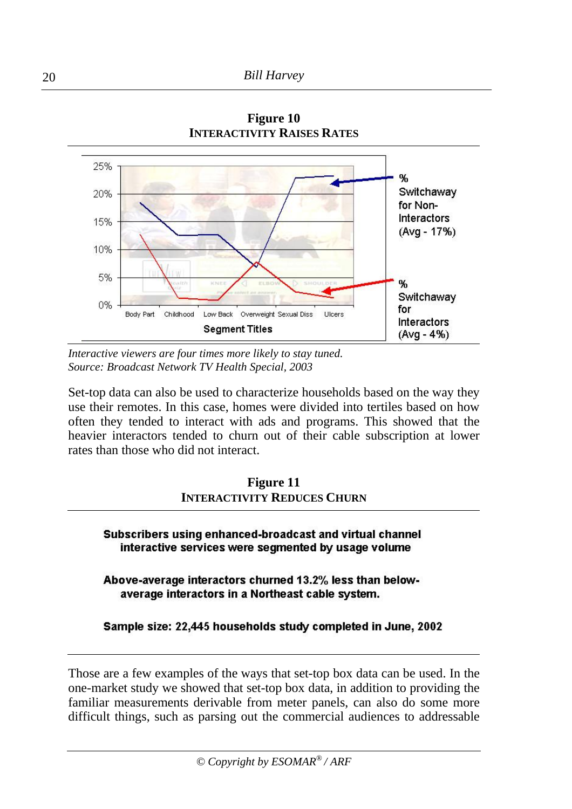

**Figure 10 INTERACTIVITY RAISES RATES**

*Interactive viewers are four times more likely to stay tuned. Source: Broadcast Network TV Health Special, 2003*

Set-top data can also be used to characterize households based on the way they use their remotes. In this case, homes were divided into tertiles based on how often they tended to interact with ads and programs. This showed that the heavier interactors tended to churn out of their cable subscription at lower rates than those who did not interact.

| <b>Figure 11</b>                   |
|------------------------------------|
| <b>INTERACTIVITY REDUCES CHURN</b> |

Subscribers using enhanced-broadcast and virtual channel interactive services were segmented by usage volume

Above-average interactors churned 13.2% less than belowaverage interactors in a Northeast cable system.

#### Sample size: 22,445 households study completed in June, 2002

Those are a few examples of the ways that set-top box data can be used. In the one-market study we showed that set-top box data, in addition to providing the familiar measurements derivable from meter panels, can also do some more difficult things, such as parsing out the commercial audiences to addressable